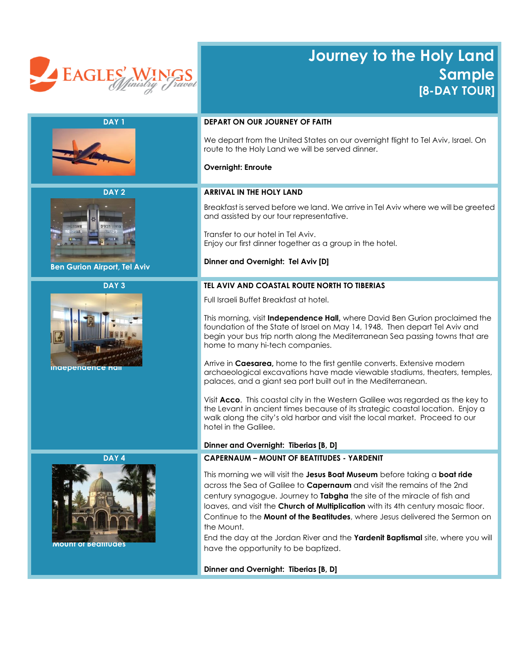

# **Journey to the Holy Land Sample [8-DAY TOUR]**

| DAY <sub>1</sub>                    | <b>DEPART ON OUR JOURNEY OF FAITH</b>                                                                                                                                                                                                                                                                                                                                                                                                                                                                                                                  |
|-------------------------------------|--------------------------------------------------------------------------------------------------------------------------------------------------------------------------------------------------------------------------------------------------------------------------------------------------------------------------------------------------------------------------------------------------------------------------------------------------------------------------------------------------------------------------------------------------------|
|                                     | We depart from the United States on our overnight flight to Tel Aviv, Israel. On<br>route to the Holy Land we will be served dinner.                                                                                                                                                                                                                                                                                                                                                                                                                   |
|                                     | <b>Overnight: Enroute</b>                                                                                                                                                                                                                                                                                                                                                                                                                                                                                                                              |
| DAY <sub>2</sub>                    | <b>ARRIVAL IN THE HOLY LAND</b>                                                                                                                                                                                                                                                                                                                                                                                                                                                                                                                        |
|                                     | Breakfast is served before we land. We arrive in Tel Aviv where we will be greeted<br>and assisted by our tour representative.                                                                                                                                                                                                                                                                                                                                                                                                                         |
|                                     | Transfer to our hotel in Tel Aviv.<br>Enjoy our first dinner together as a group in the hotel.                                                                                                                                                                                                                                                                                                                                                                                                                                                         |
| <b>Ben Gurion Airport, Tel Aviv</b> | Dinner and Overnight: Tel Aviv [D]                                                                                                                                                                                                                                                                                                                                                                                                                                                                                                                     |
| DAY <sub>3</sub>                    | TEL AVIV AND COASTAL ROUTE NORTH TO TIBERIAS                                                                                                                                                                                                                                                                                                                                                                                                                                                                                                           |
|                                     | Full Israeli Buffet Breakfast at hotel.                                                                                                                                                                                                                                                                                                                                                                                                                                                                                                                |
|                                     | This morning, visit Independence Hall, where David Ben Gurion proclaimed the<br>foundation of the State of Israel on May 14, 1948. Then depart Tel Aviv and<br>begin your bus trip north along the Mediterranean Sea passing towns that are<br>home to many hi-tech companies.                                                                                                                                                                                                                                                                         |
| <b>inaepenaence</b>                 | Arrive in Caesarea, home to the first gentile converts. Extensive modern<br>archaeological excavations have made viewable stadiums, theaters, temples,<br>palaces, and a giant sea port built out in the Mediterranean.                                                                                                                                                                                                                                                                                                                                |
|                                     | Visit Acco. This coastal city in the Western Galilee was regarded as the key to<br>the Levant in ancient times because of its strategic coastal location. Enjoy a<br>walk along the city's old harbor and visit the local market. Proceed to our<br>hotel in the Galilee.                                                                                                                                                                                                                                                                              |
|                                     | Dinner and Overnight: Tiberias [B, D]                                                                                                                                                                                                                                                                                                                                                                                                                                                                                                                  |
| DAY <sub>4</sub>                    | <b>CAPERNAUM - MOUNT OF BEATITUDES - YARDENIT</b>                                                                                                                                                                                                                                                                                                                                                                                                                                                                                                      |
| <b>Mount of Beatitudes</b>          | This morning we will visit the Jesus Boat Museum before taking a boat ride<br>across the Sea of Galilee to <b>Capernaum</b> and visit the remains of the 2nd<br>century synagogue. Journey to Tabgha the site of the miracle of fish and<br>loaves, and visit the Church of Multiplication with its 4th century mosaic floor.<br>Continue to the Mount of the Beatitudes, where Jesus delivered the Sermon on<br>the Mount.<br>End the day at the Jordan River and the Yardenit Baptismal site, where you will<br>have the opportunity to be baptized. |
|                                     | Dinner and Overnight: Tiberias [B, D]                                                                                                                                                                                                                                                                                                                                                                                                                                                                                                                  |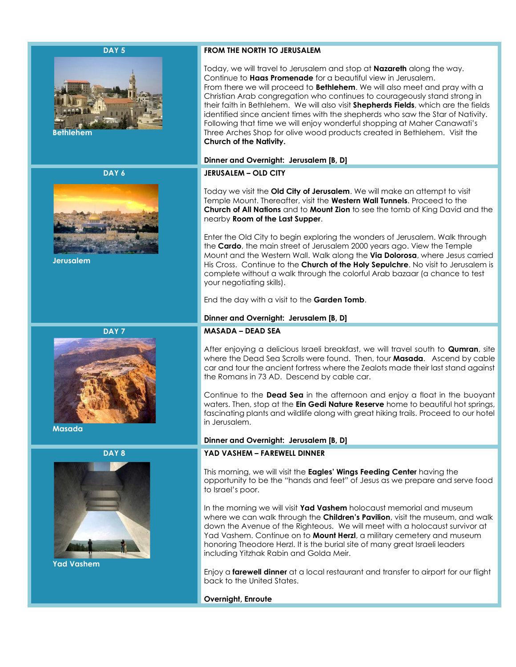### **DAY 5**



 **Bethlehem**

**DAY 6**



 **Jerusalem**

**DAY 7**



 **Masada**





 **Yad Vashem**

# **FROM THE NORTH TO JERUSALEM**

Today, we will travel to Jerusalem and stop at **Nazareth** along the way. Continue to **Haas Promenade** for a beautiful view in Jerusalem. From there we will proceed to **Bethlehem**. We will also meet and pray with a Christian Arab congregation who continues to courageously stand strong in their faith in Bethlehem. We will also visit **Shepherds Fields**, which are the fields identified since ancient times with the shepherds who saw the Star of Nativity. Following that time we will enjoy wonderful shopping at Maher Canawati's Three Arches Shop for olive wood products created in Bethlehem. Visit the **Church of the Nativity.** 

### **Dinner and Overnight: Jerusalem [B, D]**

# **JERUSALEM – OLD CITY**

Today we visit the **Old City of Jerusalem**. We will make an attempt to visit Temple Mount. Thereafter, visit the **Western Wall Tunnels**. Proceed to the **Church of All Nations** and to **Mount Zion** to see the tomb of King David and the nearby **Room of the Last Supper**.

Enter the Old City to begin exploring the wonders of Jerusalem. Walk through the **Cardo**, the main street of Jerusalem 2000 years ago. View the Temple Mount and the Western Wall. Walk along the **Via Dolorosa**, where Jesus carried His Cross. Continue to the **Church of the Holy Sepulchre**. No visit to Jerusalem is complete without a walk through the colorful Arab bazaar (a chance to test your negotiating skills).

End the day with a visit to the **Garden Tomb**.

## **Dinner and Overnight: Jerusalem [B, D]**

## **MASADA – DEAD SEA**

After enjoying a delicious Israeli breakfast, we will travel south to **Qumran**, site where the Dead Sea Scrolls were found. Then, tour **Masada**. Ascend by cable car and tour the ancient fortress where the Zealots made their last stand against the Romans in 73 AD. Descend by cable car.

Continue to the **Dead Sea** in the afternoon and enjoy a float in the buoyant waters. Then, stop at the **Ein Gedi Nature Reserve** home to beautiful hot springs, fascinating plants and wildlife along with great hiking trails. Proceed to our hotel in Jerusalem.

# **Dinner and Overnight: Jerusalem [B, D]**

# **YAD VASHEM – FAREWELL DINNER**

This morning, we will visit the **Eagles' Wings Feeding Center** having the opportunity to be the "hands and feet" of Jesus as we prepare and serve food to Israel's poor.

In the morning we will visit **Yad Vashem** holocaust memorial and museum where we can walk through the **Children's Pavilion**, visit the museum, and walk down the Avenue of the Righteous. We will meet with a holocaust survivor at Yad Vashem. Continue on to **Mount Herzl**, a military cemetery and museum honoring Theodore Herzl. It is the burial site of many great Israeli leaders including Yitzhak Rabin and Golda Meir.

Enjoy a **farewell dinner** at a local restaurant and transfer to airport for our flight back to the United States.

**Overnight, Enroute**